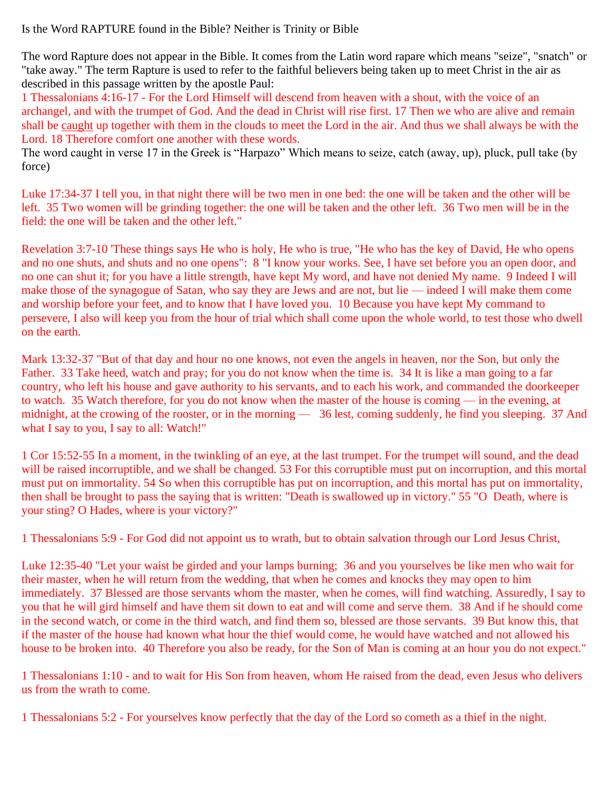Is the Word RAPTURE found in the Bible? Neither is Trinity or Bible

The word Rapture does not appear in the Bible. It comes from the Latin word rapare which means "seize", "snatch" or "take away." The term Rapture is used to refer to the faithful believers being taken up to meet Christ in the air as described in this passage written by the apostle Paul:

[1 Thessalonians 4:16-17](http://www.kingjamesbibleonline.org/1-Thessalonians-4-17/) - For the Lord Himself will descend from heaven with a shout, with the voice of an archangel, and with the trumpet of God. And the dead in Christ will rise first. 17 Then we who are alive and remain shall be caught up together with them in the clouds to meet the Lord in the air. And thus we shall always be with the Lord. 18 Therefore comfort one another with these words.

The word caught in verse 17 in the Greek is "Harpazo" Which means to seize, catch (away, up), pluck, pull take (by force)

[Luke 17:34-37](http://www.kingjamesbibleonline.org/Luke-17-34_17-37/) I tell you, in that night there will be two men in one bed: the one will be taken and the other will be left. 35 Two women will be grinding together: the one will be taken and the other left. 36 Two men will be in the field: the one will be taken and the other left."

[Revelation 3](http://www.kingjamesbibleonline.org/Revelation-3-10/):7-10 'These things says He who is holy, He who is true, "He who has the key of David, He who opens and no one shuts, and shuts and no one opens": 8 "I know your works. See, I have set before you an open door, and no one can shut it; for you have a little strength, have kept My word, and have not denied My name. 9 Indeed I will make those of the synagogue of Satan, who say they are Jews and are not, but lie — indeed I will make them come and worship before your feet, and to know that I have loved you. 10 Because you have kept My command to persevere, I also will keep you from the hour of trial which shall come upon the whole world, to test those who dwell on the earth.

Mark 13:32-37 "But of that day and hour no one knows, not even the angels in heaven, nor the Son, but only the Father. 33 Take heed, watch and pray; for you do not know when the time is. 34 It is like a man going to a far country, who left his house and gave authority to his servants, and to each his work, and commanded the doorkeeper to watch. 35 Watch therefore, for you do not know when the master of the house is coming — in the evening, at midnight, at the crowing of the rooster, or in the morning — 36 lest, coming suddenly, he find you sleeping. 37 And what I say to you, I say to all: Watch!"

1 Cor 15:52-55 In a moment, in the twinkling of an eye, at the last trumpet. For the trumpet will sound, and the dead will be raised incorruptible, and we shall be changed. 53 For this corruptible must put on incorruption, and this mortal must put on immortality. 54 So when this corruptible has put on incorruption, and this mortal has put on immortality, then shall be brought to pass the saying that is written: "Death is swallowed up in victory." 55 "O Death, where is your sting? O Hades, where is your victory?"

[1 Thessalonians 5:9](http://www.kingjamesbibleonline.org/1-Thessalonians-5-9/) - For God did not appoint us to wrath, but to obtain salvation through our Lord Jesus Christ,

Luke 12:35-40 "Let your waist be girded and your lamps burning; 36 and you yourselves be like men who wait for their master, when he will return from the wedding, that when he comes and knocks they may open to him immediately. 37 Blessed are those servants whom the master, when he comes, will find watching. Assuredly, I say to you that he will gird himself and have them sit down to eat and will come and serve them. 38 And if he should come in the second watch, or come in the third watch, and find them so, blessed are those servants. 39 But know this, that if the master of the house had known what hour the thief would come, he would have watched and not allowed his house to be broken into. 40 Therefore you also be ready, for the Son of Man is coming at an hour you do not expect."

[1 Thessalonians 1:10](http://www.kingjamesbibleonline.org/1-Thessalonians-1-10/) - and to wait for His Son from heaven, whom He raised from the dead, even Jesus who delivers us from the wrath to come.

[1 Thessalonians 5:2](http://www.kingjamesbibleonline.org/1-Thessalonians-5-2/) - For yourselves know perfectly that the day of the Lord so cometh as a thief in the night.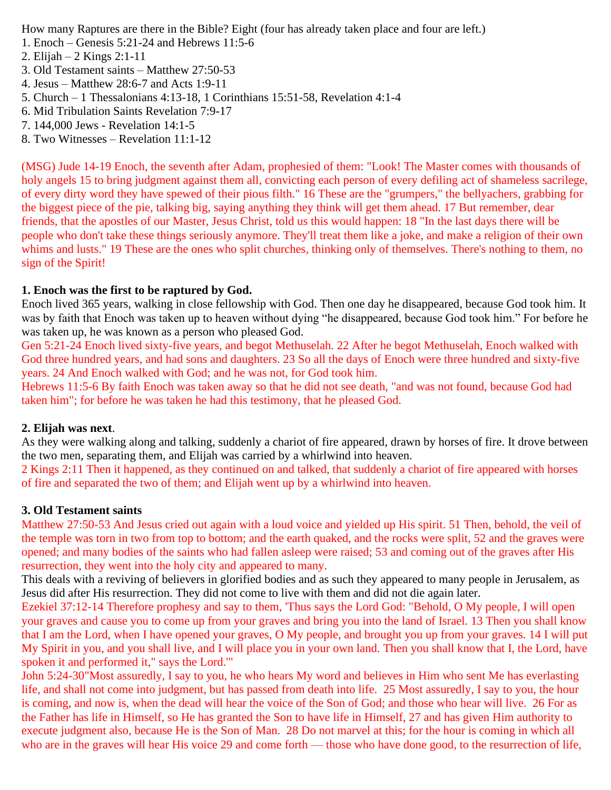How many Raptures are there in the Bible? Eight (four has already taken place and four are left.)

- 1. Enoch Genesis 5:21-24 and Hebrews 11:5-6
- 2. Elijah 2 Kings 2:1-11
- 3. Old Testament saints Matthew 27:50-53
- 4. Jesus Matthew 28:6-7 and Acts 1:9-11
- 5. Church 1 Thessalonians 4:13-18, 1 Corinthians 15:51-58, Revelation 4:1-4
- 6. Mid Tribulation Saints Revelation 7:9-17
- 7. 144,000 Jews Revelation 14:1-5
- 8. Two Witnesses Revelation 11:1-12

(MSG) Jude 14-19 Enoch, the seventh after Adam, prophesied of them: "Look! The Master comes with thousands of holy angels 15 to bring judgment against them all, convicting each person of every defiling act of shameless sacrilege, of every dirty word they have spewed of their pious filth." 16 These are the "grumpers," the bellyachers, grabbing for the biggest piece of the pie, talking big, saying anything they think will get them ahead. 17 But remember, dear friends, that the apostles of our Master, Jesus Christ, told us this would happen: 18 "In the last days there will be people who don't take these things seriously anymore. They'll treat them like a joke, and make a religion of their own whims and lusts." 19 These are the ones who split churches, thinking only of themselves. There's nothing to them, no sign of the Spirit!

### **1. Enoch was the first to be raptured by God.**

Enoch lived 365 years, walking in close fellowship with God. Then one day he disappeared, because God took him. It was by faith that Enoch was taken up to heaven without dying "he disappeared, because God took him." For before he was taken up, he was known as a person who pleased God.

Gen 5:21-24 Enoch lived sixty-five years, and begot Methuselah. 22 After he begot Methuselah, Enoch walked with God three hundred years, and had sons and daughters. 23 So all the days of Enoch were three hundred and sixty-five years. 24 And Enoch walked with God; and he was not, for God took him.

Hebrews 11:5-6 By faith Enoch was taken away so that he did not see death, "and was not found, because God had taken him"; for before he was taken he had this testimony, that he pleased God.

### **2. Elijah was next**.

As they were walking along and talking, suddenly a chariot of fire appeared, drawn by horses of fire. It drove between the two men, separating them, and Elijah was carried by a whirlwind into heaven.

2 Kings 2:11 Then it happened, as they continued on and talked, that suddenly a chariot of fire appeared with horses of fire and separated the two of them; and Elijah went up by a whirlwind into heaven.

### **3. Old Testament saints**

Matthew 27:50-53 And Jesus cried out again with a loud voice and yielded up His spirit. 51 Then, behold, the veil of the temple was torn in two from top to bottom; and the earth quaked, and the rocks were split, 52 and the graves were opened; and many bodies of the saints who had fallen asleep were raised; 53 and coming out of the graves after His resurrection, they went into the holy city and appeared to many.

This deals with a reviving of believers in glorified bodies and as such they appeared to many people in Jerusalem, as Jesus did after His resurrection. They did not come to live with them and did not die again later.

Ezekiel 37:12-14 Therefore prophesy and say to them, 'Thus says the Lord God: "Behold, O My people, I will open your graves and cause you to come up from your graves and bring you into the land of Israel. 13 Then you shall know that I am the Lord, when I have opened your graves, O My people, and brought you up from your graves. 14 I will put My Spirit in you, and you shall live, and I will place you in your own land. Then you shall know that I, the Lord, have spoken it and performed it," says the Lord.'"

John 5:24-30"Most assuredly, I say to you, he who hears My word and believes in Him who sent Me has everlasting life, and shall not come into judgment, but has passed from death into life. 25 Most assuredly, I say to you, the hour is coming, and now is, when the dead will hear the voice of the Son of God; and those who hear will live. 26 For as the Father has life in Himself, so He has granted the Son to have life in Himself, 27 and has given Him authority to execute judgment also, because He is the Son of Man. 28 Do not marvel at this; for the hour is coming in which all who are in the graves will hear His voice 29 and come forth — those who have done good, to the resurrection of life,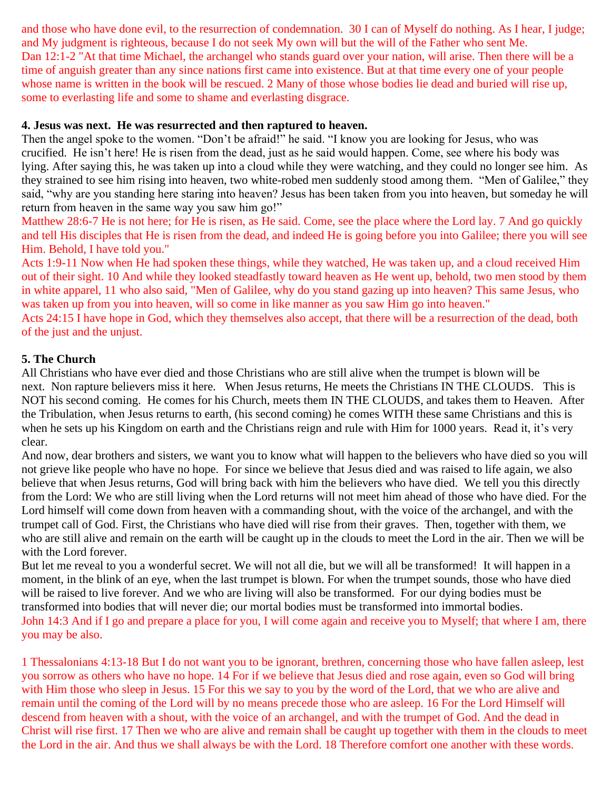and those who have done evil, to the resurrection of condemnation. 30 I can of Myself do nothing. As I hear, I judge; and My judgment is righteous, because I do not seek My own will but the will of the Father who sent Me. Dan 12:1-2 "At that time Michael, the archangel who stands guard over your nation, will arise. Then there will be a time of anguish greater than any since nations first came into existence. But at that time every one of your people whose name is written in the book will be rescued. 2 Many of those whose bodies lie dead and buried will rise up, some to everlasting life and some to shame and everlasting disgrace.

### **4. Jesus was next. He was resurrected and then raptured to heaven.**

Then the angel spoke to the women. "Don't be afraid!" he said. "I know you are looking for Jesus, who was crucified. He isn't here! He is risen from the dead, just as he said would happen. Come, see where his body was lying. After saying this, he was taken up into a cloud while they were watching, and they could no longer see him. As they strained to see him rising into heaven, two white-robed men suddenly stood among them. "Men of Galilee," they said, "why are you standing here staring into heaven? Jesus has been taken from you into heaven, but someday he will return from heaven in the same way you saw him go!"

Matthew 28:6-7 He is not here; for He is risen, as He said. Come, see the place where the Lord lay. 7 And go quickly and tell His disciples that He is risen from the dead, and indeed He is going before you into Galilee; there you will see Him. Behold, I have told you."

Acts 1:9-11 Now when He had spoken these things, while they watched, He was taken up, and a cloud received Him out of their sight. 10 And while they looked steadfastly toward heaven as He went up, behold, two men stood by them in white apparel, 11 who also said, "Men of Galilee, why do you stand gazing up into heaven? This same Jesus, who was taken up from you into heaven, will so come in like manner as you saw Him go into heaven."

Acts 24:15 I have hope in God, which they themselves also accept, that there will be a resurrection of the dead, both of the just and the unjust.

### **5. The Church**

All Christians who have ever died and those Christians who are still alive when the trumpet is blown will be next. Non rapture believers miss it here. When Jesus returns, He meets the Christians IN THE CLOUDS. This is NOT his second coming. He comes for his Church, meets them IN THE CLOUDS, and takes them to Heaven. After the Tribulation, when Jesus returns to earth, (his second coming) he comes WITH these same Christians and this is when he sets up his Kingdom on earth and the Christians reign and rule with Him for 1000 years. Read it, it's very clear.

And now, dear brothers and sisters, we want you to know what will happen to the believers who have died so you will not grieve like people who have no hope. For since we believe that Jesus died and was raised to life again, we also believe that when Jesus returns, God will bring back with him the believers who have died. We tell you this directly from the Lord: We who are still living when the Lord returns will not meet him ahead of those who have died. For the Lord himself will come down from heaven with a commanding shout, with the voice of the archangel, and with the trumpet call of God. First, the Christians who have died will rise from their graves. Then, together with them, we who are still alive and remain on the earth will be caught up in the clouds to meet the Lord in the air. Then we will be with the Lord forever.

But let me reveal to you a wonderful secret. We will not all die, but we will all be transformed! It will happen in a moment, in the blink of an eye, when the last trumpet is blown. For when the trumpet sounds, those who have died will be raised to live forever. And we who are living will also be transformed. For our dying bodies must be transformed into bodies that will never die; our mortal bodies must be transformed into immortal bodies. John 14:3 And if I go and prepare a place for you, I will come again and receive you to Myself; that where I am, there you may be also.

1 Thessalonians 4:13-18 But I do not want you to be ignorant, brethren, concerning those who have fallen asleep, lest you sorrow as others who have no hope. 14 For if we believe that Jesus died and rose again, even so God will bring with Him those who sleep in Jesus. 15 For this we say to you by the word of the Lord, that we who are alive and remain until the coming of the Lord will by no means precede those who are asleep. 16 For the Lord Himself will descend from heaven with a shout, with the voice of an archangel, and with the trumpet of God. And the dead in Christ will rise first. 17 Then we who are alive and remain shall be caught up together with them in the clouds to meet the Lord in the air. And thus we shall always be with the Lord. 18 Therefore comfort one another with these words.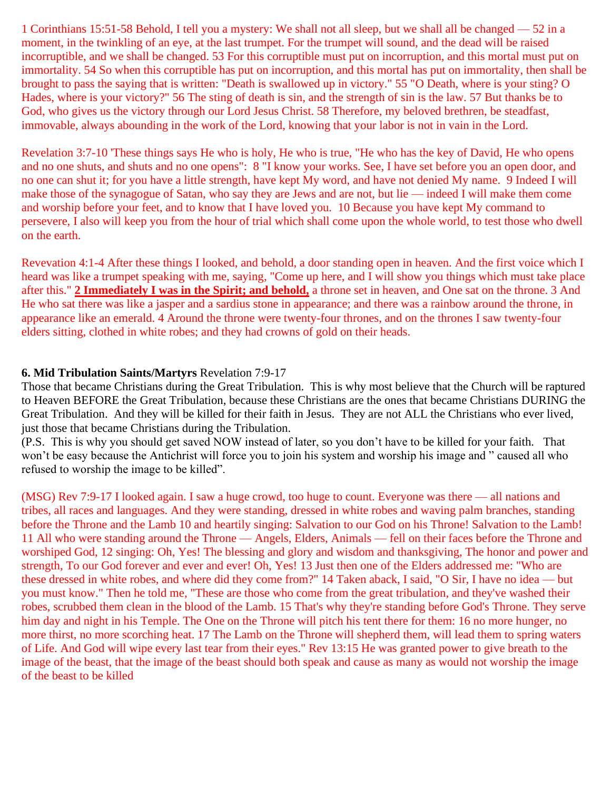1 Corinthians 15:51-58 Behold, I tell you a mystery: We shall not all sleep, but we shall all be changed — 52 in a moment, in the twinkling of an eye, at the last trumpet. For the trumpet will sound, and the dead will be raised incorruptible, and we shall be changed. 53 For this corruptible must put on incorruption, and this mortal must put on immortality. 54 So when this corruptible has put on incorruption, and this mortal has put on immortality, then shall be brought to pass the saying that is written: "Death is swallowed up in victory." 55 "O Death, where is your sting? O Hades, where is your victory?" 56 The sting of death is sin, and the strength of sin is the law. 57 But thanks be to God, who gives us the victory through our Lord Jesus Christ. 58 Therefore, my beloved brethren, be steadfast, immovable, always abounding in the work of the Lord, knowing that your labor is not in vain in the Lord.

[Revelation 3](http://www.kingjamesbibleonline.org/Revelation-3-10/):7-10 'These things says He who is holy, He who is true, "He who has the key of David, He who opens and no one shuts, and shuts and no one opens": 8 "I know your works. See, I have set before you an open door, and no one can shut it; for you have a little strength, have kept My word, and have not denied My name. 9 Indeed I will make those of the synagogue of Satan, who say they are Jews and are not, but lie — indeed I will make them come and worship before your feet, and to know that I have loved you. 10 Because you have kept My command to persevere, I also will keep you from the hour of trial which shall come upon the whole world, to test those who dwell on the earth.

Revevation 4:1-4 After these things I looked, and behold, a door standing open in heaven. And the first voice which I heard was like a trumpet speaking with me, saying, "Come up here, and I will show you things which must take place after this." **2 Immediately I was in the Spirit; and behold,** a throne set in heaven, and One sat on the throne. 3 And He who sat there was like a jasper and a sardius stone in appearance; and there was a rainbow around the throne, in appearance like an emerald. 4 Around the throne were twenty-four thrones, and on the thrones I saw twenty-four elders sitting, clothed in white robes; and they had crowns of gold on their heads.

### **6. Mid Tribulation Saints/Martyrs** Revelation 7:9-17

Those that became Christians during the Great Tribulation. This is why most believe that the Church will be raptured to Heaven BEFORE the Great Tribulation, because these Christians are the ones that became Christians DURING the Great Tribulation. And they will be killed for their faith in Jesus. They are not ALL the Christians who ever lived, just those that became Christians during the Tribulation.

(P.S. This is why you should get saved NOW instead of later, so you don't have to be killed for your faith. That won't be easy because the Antichrist will force you to join his system and worship his image and " caused all who refused to worship the image to be killed".

(MSG) Rev 7:9-17 I looked again. I saw a huge crowd, too huge to count. Everyone was there — all nations and tribes, all races and languages. And they were standing, dressed in white robes and waving palm branches, standing before the Throne and the Lamb 10 and heartily singing: Salvation to our God on his Throne! Salvation to the Lamb! 11 All who were standing around the Throne — Angels, Elders, Animals — fell on their faces before the Throne and worshiped God, 12 singing: Oh, Yes! The blessing and glory and wisdom and thanksgiving, The honor and power and strength, To our God forever and ever and ever! Oh, Yes! 13 Just then one of the Elders addressed me: "Who are these dressed in white robes, and where did they come from?" 14 Taken aback, I said, "O Sir, I have no idea — but you must know." Then he told me, "These are those who come from the great tribulation, and they've washed their robes, scrubbed them clean in the blood of the Lamb. 15 That's why they're standing before God's Throne. They serve him day and night in his Temple. The One on the Throne will pitch his tent there for them: 16 no more hunger, no more thirst, no more scorching heat. 17 The Lamb on the Throne will shepherd them, will lead them to spring waters of Life. And God will wipe every last tear from their eyes." Rev 13:15 He was granted power to give breath to the image of the beast, that the image of the beast should both speak and cause as many as would not worship the image of the beast to be killed